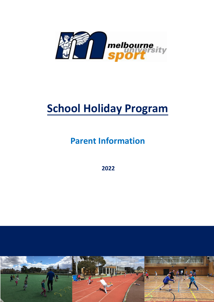

# **School Holiday Program**

**Parent Information**

**2022**

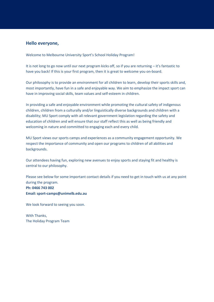#### **Hello everyone,**

Welcome to Melbourne University Sport's School Holiday Program!

It is not long to go now until our next program kicks off, so if you are returning – it's fantastic to have you back! If this is your first program, then it is great to welcome you on-board.

Our philosophy is to provide an environment for all children to learn, develop their sports skills and, most importantly, have fun in a safe and enjoyable way. We aim to emphasize the impact sport can have in improving social skills, team values and self-esteem in children.

In providing a safe and enjoyable environment while promoting the cultural safety of indigenous children, children from a culturally and/or linguistically diverse backgrounds and children with a disability; MU Sport comply with all relevant government legislation regarding the safety and education of children and will ensure that our staff reflect this as well as being friendly and welcoming in nature and committed to engaging each and every child.

MU Sport views our sports camps and experiences as a community engagement opportunity. We respect the importance of community and open our programs to children of all abilities and backgrounds.

Our attendees having fun, exploring new avenues to enjoy sports and staying fit and healthy is central to our philosophy.

Please see below for some important contact details if you need to get in touch with us at any point during the program. **Ph: 0466 743 002 Email: sport-camps@unimelb.edu.au** 

We look forward to seeing you soon.

With Thanks, The Holiday Program Team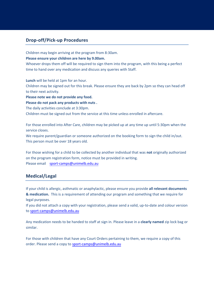## **Drop-off/Pick-up Procedures**

Children may begin arriving at the program from 8:30am.

**Please ensure your children are here by 9.00am.** 

Whoever drops them off will be required to sign them into the program, with this being a perfect time to hand over any medication and discuss any queries with Staff.

**Lunch** will be held at 1pm for an hour.

Children may be signed out for this break. Please ensure they are back by 2pm so they can head off to their next activity.

**Please note we do not provide any food.** 

**Please do not pack any products with nuts .** 

The daily activities conclude at 3:30pm.

Children must be signed out from the service at this time unless enrolled in aftercare.

For those enrolled into After Care, children may be picked up at any time up until 5:30pm when the service closes.

We require parent/guardian or someone authorized on the booking form to sign the child in/out. This person must be over 18 years old.

For those wishing for a child to be collected by another individual that was **not** originally authorized on the program registration form, notice must be provided in writing. Please email [sport-camps@unimelb.edu.au](mailto:sports-camps@unimelb.edu.au)

### **Medical/Legal**

If your child is allergic, asthmatic or anaphylactic, please ensure you provide **all relevant documents & medication.** This is a requirement of attending our program and something that we require for legal purposes.

If you did not attach a copy with your registration, please send a valid, up-to-date and colour version to [sport-camps@unimelb.edu.au](mailto:sports-camps@unimelb.edu.au)

Any medication needs to be handed to staff at sign in. Please leave in a **clearly named** zip lock bag or similar.

For those with children that have any Court Orders pertaining to them, we require a copy of this order. Please send a copy t[o sport-camps@unimelb.edu.au](mailto:sports-camps@unimelb.edu.au)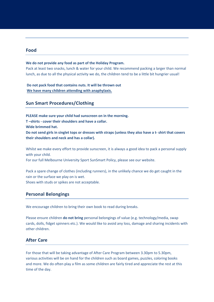#### **Food**

#### **We do not provide any food as part of the Holiday Program.**

Pack at least two snacks, lunch & water for your child. We recommend packing a larger than normal lunch, as due to all the physical activity we do, the children tend to be a little bit hungrier usual!

#### **Do not pack food that contains nuts. It will be thrown out We have many children attending with anaphylaxis.**

#### **Sun Smart Procedures/Clothing**

**PLEASE make sure your child had sunscreen on in the morning. T –shirts - cover their shoulders and have a collar. Wide brimmed hat. Do not send girls in singlet tops or dresses with straps (unless they also have a t- shirt that covers their shoulders and neck and has a collar).**

Whilst we make every effort to provide sunscreen, it is always a good idea to pack a personal supply with your child.

For our full Melbourne University Sport SunSmart Policy, please see our website.

Pack a spare change of clothes (including runners), in the unlikely chance we do get caught in the rain or the surface we play on is wet. Shoes with studs or spikes are not acceptable.

#### **Personal Belongings**

We encourage children to bring their own book to read during breaks.

Please ensure children **do not bring** personal belongings of value (e.g. technology/media, swap cards, dolls, fidget spinners etc.). We would like to avoid any loss, damage and sharing incidents with other children.

## **After Care**

For those that will be taking advantage of After Care Program between 3.30pm to 5.30pm, various activities will be on hand for the children such as board games, puzzles, coloring books and more. We do often play a film as some children are fairly tired and appreciate the rest at this time of the day.